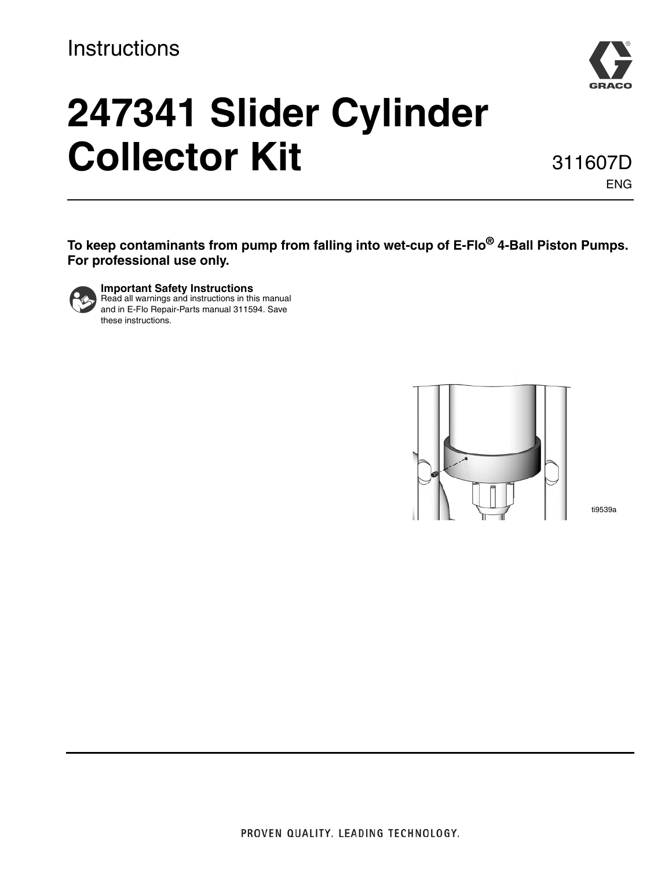## **Instructions**



# **247341 Slider Cylinder Collector Kit**

311607D ENG

**To keep contaminants from pump from falling into wet-cup of E-Flo® 4-Ball Piston Pumps. For professional use only.**



**Important Safety Instructions** Read all warnings and instructions in this manual and in E-Flo Repair-Parts manual 311594. Save these instructions.



ti9539a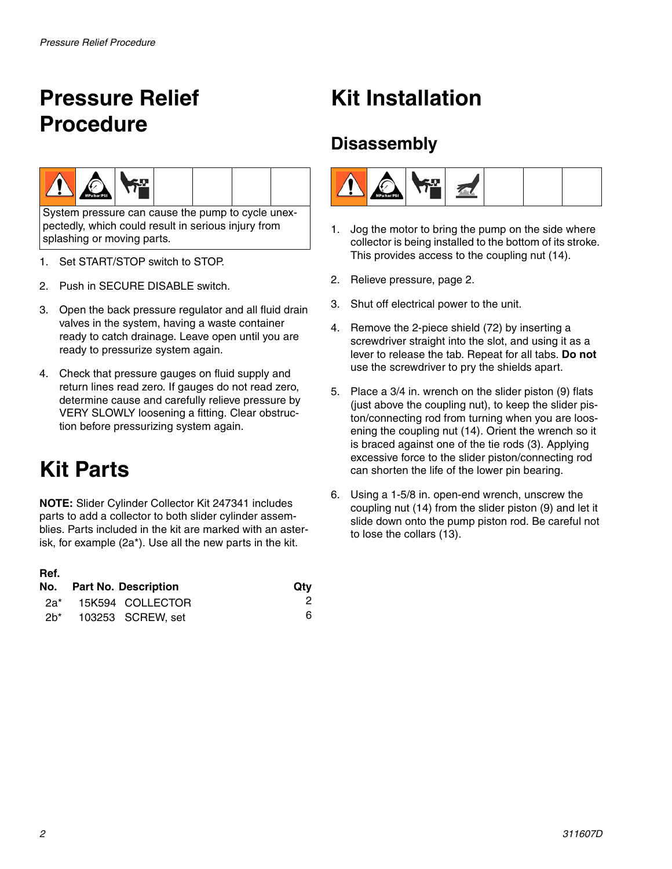## <span id="page-1-0"></span>**Pressure Relief Procedure**



System pressure can cause the pump to cycle unexpectedly, which could result in serious injury from splashing or moving parts.

- 1. Set START/STOP switch to STOP.
- 2. Push in SECURE DISABLE switch.
- 3. Open the back pressure regulator and all fluid drain valves in the system, having a waste container ready to catch drainage. Leave open until you are ready to pressurize system again.
- 4. Check that pressure gauges on fluid supply and return lines read zero. If gauges do not read zero, determine cause and carefully relieve pressure by VERY SLOWLY loosening a fitting. Clear obstruction before pressurizing system again.

# **Kit Parts**

**NOTE:** Slider Cylinder Collector Kit 247341 includes parts to add a collector to both slider cylinder assemblies. Parts included in the kit are marked with an asterisk, for example (2a\*). Use all the new parts in the kit.

| Ref. |                          |     |
|------|--------------------------|-----|
|      | No. Part No. Description | Qtv |
| 2a*  | 15K594 COLLECTOR         | 2   |
| 2h*  | 103253 SCREW, set        | 6   |

# **Kit Installation**

## **Disassembly**



- 1. Jog the motor to bring the pump on the side where collector is being installed to the bottom of its stroke. This provides access to the coupling nut (14).
- 2. Relieve pressure, page [2.](#page-1-0)
- 3. Shut off electrical power to the unit.
- 4. Remove the 2-piece shield (72) by inserting a screwdriver straight into the slot, and using it as a lever to release the tab. Repeat for all tabs. **Do not** use the screwdriver to pry the shields apart.
- 5. Place a 3/4 in. wrench on the slider piston (9) flats (just above the coupling nut), to keep the slider piston/connecting rod from turning when you are loosening the coupling nut (14). Orient the wrench so it is braced against one of the tie rods (3). Applying excessive force to the slider piston/connecting rod can shorten the life of the lower pin bearing.
- 6. Using a 1-5/8 in. open-end wrench, unscrew the coupling nut (14) from the slider piston (9) and let it slide down onto the pump piston rod. Be careful not to lose the collars (13).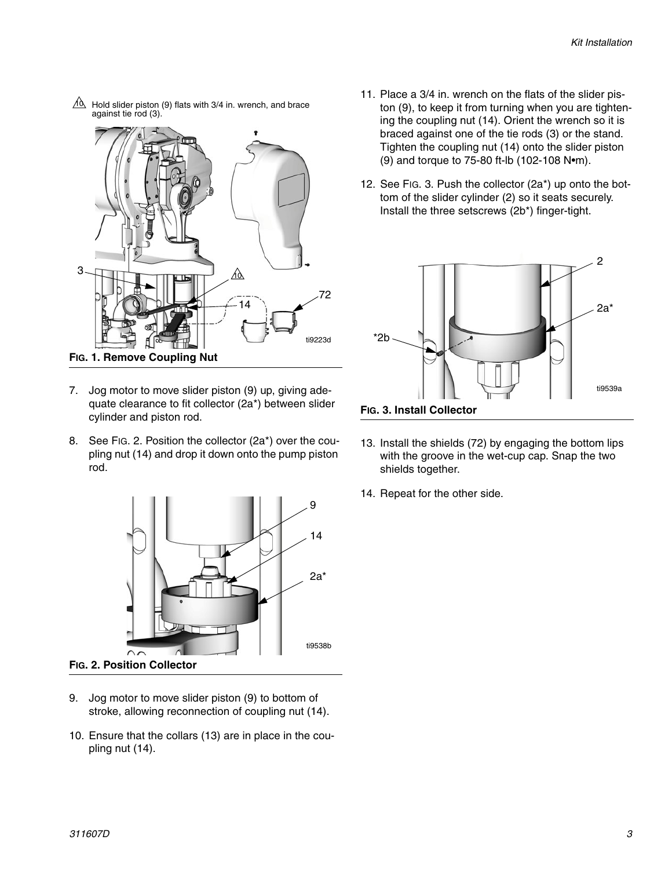ti9223d 3 14 against tie rod (3). <u>Ad</u> 72

 $40$  Hold slider piston (9) flats with 3/4 in. wrench, and brace

- **FIG. 1. Remove Coupling Nut**
- 7. Jog motor to move slider piston (9) up, giving adequate clearance to fit collector (2a\*) between slider cylinder and piston rod.
- 8. See FIG. 2. Position the collector (2a\*) over the coupling nut (14) and drop it down onto the pump piston rod.



- 9. Jog motor to move slider piston (9) to bottom of stroke, allowing reconnection of coupling nut (14).
- 10. Ensure that the collars (13) are in place in the coupling nut (14).
- 11. Place a 3/4 in. wrench on the flats of the slider piston (9), to keep it from turning when you are tightening the coupling nut (14). Orient the wrench so it is braced against one of the tie rods (3) or the stand. Tighten the coupling nut (14) onto the slider piston (9) and torque to 75-80 ft-lb (102-108 N•m).
- 12. See [FIG. 3.](#page-2-0) Push the collector (2a\*) up onto the bottom of the slider cylinder (2) so it seats securely. Install the three setscrews (2b\*) finger-tight.



<span id="page-2-0"></span>**FIG. 3. Install Collector**

- 13. Install the shields (72) by engaging the bottom lips with the groove in the wet-cup cap. Snap the two shields together.
- 14. Repeat for the other side.